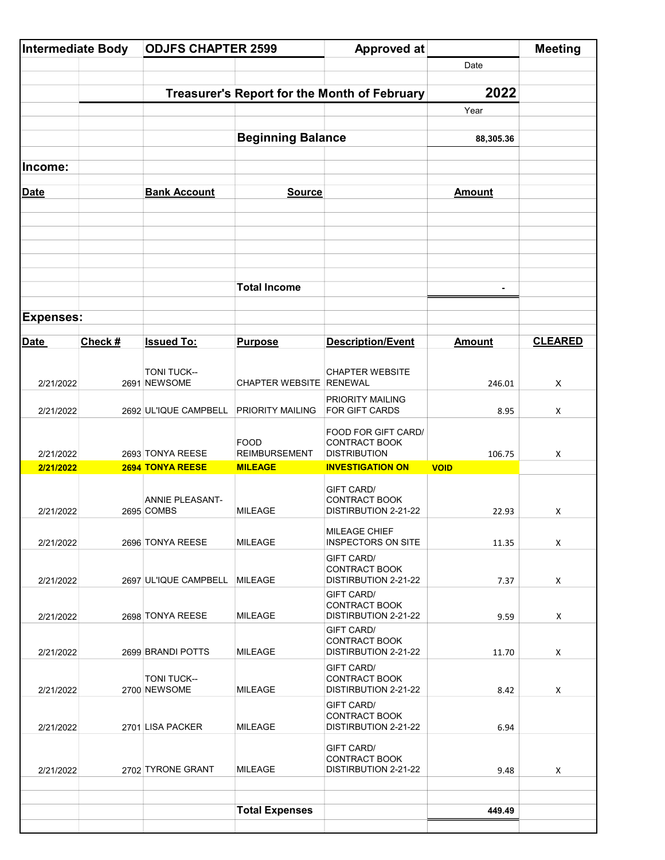| <b>Intermediate Body</b> |         | <b>ODJFS CHAPTER 2599</b>     |                                              | <b>Approved at</b>                                                       |                | <b>Meeting</b> |
|--------------------------|---------|-------------------------------|----------------------------------------------|--------------------------------------------------------------------------|----------------|----------------|
|                          |         |                               |                                              |                                                                          | Date           |                |
|                          |         |                               | Treasurer's Report for the Month of February | 2022                                                                     |                |                |
|                          |         |                               |                                              |                                                                          | Year           |                |
|                          |         |                               |                                              |                                                                          |                |                |
|                          |         |                               | <b>Beginning Balance</b>                     |                                                                          | 88,305.36      |                |
| Income:                  |         |                               |                                              |                                                                          |                |                |
| <b>Date</b>              |         | <b>Bank Account</b>           | <b>Source</b>                                |                                                                          | <b>Amount</b>  |                |
|                          |         |                               |                                              |                                                                          |                |                |
|                          |         |                               | <b>Total Income</b>                          |                                                                          | $\blacksquare$ |                |
| <b>Expenses:</b>         |         |                               |                                              |                                                                          |                |                |
|                          |         |                               |                                              |                                                                          |                |                |
| <b>Date</b>              | Check # | <b>Issued To:</b>             | <b>Purpose</b>                               | <b>Description/Event</b>                                                 | <b>Amount</b>  | <b>CLEARED</b> |
| 2/21/2022                |         | TONI TUCK--<br>2691 NEWSOME   | <b>CHAPTER WEBSITE RENEWAL</b>               | <b>CHAPTER WEBSITE</b>                                                   | 246.01         | Χ              |
| 2/21/2022                |         | 2692 UL'IQUE CAMPBELL         | PRIORITY MAILING                             | PRIORITY MAILING<br><b>FOR GIFT CARDS</b>                                | 8.95           | Χ              |
| 2/21/2022                |         | 2693 TONYA REESE              | <b>FOOD</b><br><b>REIMBURSEMENT</b>          | FOOD FOR GIFT CARD/<br><b>CONTRACT BOOK</b><br><b>DISTRIBUTION</b>       | 106.75         | X              |
| 2/21/2022                |         | 2694 TONYA REESE              | <b>MILEAGE</b>                               | <b>INVESTIGATION ON</b>                                                  | <b>VOID</b>    |                |
| 2/21/2022                |         | ANNIE PLEASANT-<br>2695 COMBS | <b>MILEAGE</b>                               | <b>GIFT CARD/</b><br><b>CONTRACT BOOK</b><br>DISTIRBUTION 2-21-22        | 22.93          | X              |
| 2/21/2022                |         | 2696 TONYA REESE              | <b>MILEAGE</b>                               | <b>MILEAGE CHIEF</b><br><b>INSPECTORS ON SITE</b>                        | 11.35          | X              |
| 2/21/2022                |         | 2697 UL'IQUE CAMPBELL         | <b>MILEAGE</b>                               | <b>GIFT CARD/</b><br>CONTRACT BOOK<br>DISTIRBUTION 2-21-22               | 7.37           | X              |
| 2/21/2022                |         | 2698 TONYA REESE              | MILEAGE                                      | <b>GIFT CARD/</b><br><b>CONTRACT BOOK</b><br>DISTIRBUTION 2-21-22        | 9.59           | X              |
| 2/21/2022                |         | 2699 BRANDI POTTS             | <b>MILEAGE</b>                               | <b>GIFT CARD/</b><br><b>CONTRACT BOOK</b><br><b>DISTIRBUTION 2-21-22</b> | 11.70          | X              |
| 2/21/2022                |         | TONI TUCK--<br>2700 NEWSOME   | <b>MILEAGE</b>                               | <b>GIFT CARD/</b><br>CONTRACT BOOK<br>DISTIRBUTION 2-21-22               | 8.42           | X              |
| 2/21/2022                |         | 2701 LISA PACKER              | <b>MILEAGE</b>                               | <b>GIFT CARD/</b><br><b>CONTRACT BOOK</b><br>DISTIRBUTION 2-21-22        | 6.94           |                |
| 2/21/2022                |         | 2702 TYRONE GRANT             | <b>MILEAGE</b>                               | <b>GIFT CARD/</b><br>CONTRACT BOOK<br>DISTIRBUTION 2-21-22               | 9.48           | X              |
|                          |         |                               |                                              |                                                                          |                |                |
|                          |         |                               | <b>Total Expenses</b>                        |                                                                          | 449.49         |                |
|                          |         |                               |                                              |                                                                          |                |                |